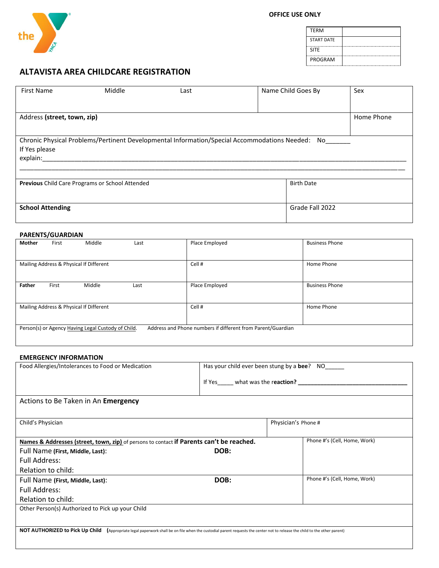

| <b>TERM</b>       |  |
|-------------------|--|
| <b>START DATE</b> |  |
| <b>SITE</b>       |  |
| <b>PROGRAM</b>    |  |

# **ALTAVISTA AREA CHILDCARE REGISTRATION**

| <b>First Name</b>                                                                                                            | Middle                                                 | Last |  | Name Child Goes By | Sex        |  |
|------------------------------------------------------------------------------------------------------------------------------|--------------------------------------------------------|------|--|--------------------|------------|--|
|                                                                                                                              |                                                        |      |  |                    |            |  |
| Address (street, town, zip)                                                                                                  |                                                        |      |  |                    | Home Phone |  |
| Chronic Physical Problems/Pertinent Developmental Information/Special Accommodations Needed: No<br>If Yes please<br>explain: |                                                        |      |  |                    |            |  |
|                                                                                                                              | <b>Previous</b> Child Care Programs or School Attended |      |  | <b>Birth Date</b>  |            |  |
| <b>School Attending</b>                                                                                                      |                                                        |      |  | Grade Fall 2022    |            |  |

# **PARENTS/GUARDIAN**

| Mother | First | Middle                                             | Last | Place Employed                                              | <b>Business Phone</b> |
|--------|-------|----------------------------------------------------|------|-------------------------------------------------------------|-----------------------|
|        |       |                                                    |      |                                                             |                       |
|        |       | Mailing Address & Physical If Different            |      | Cell #                                                      | Home Phone            |
| Father | First | Middle                                             | Last | Place Employed                                              | <b>Business Phone</b> |
|        |       | Mailing Address & Physical If Different            |      | Cell#                                                       | Home Phone            |
|        |       | Person(s) or Agency Having Legal Custody of Child. |      | Address and Phone numbers if different from Parent/Guardian |                       |

# **EMERGENCY INFORMATION**

| Food Allergies/Intolerances to Food or Medication                                                                                                                                   | Has your child ever been stung by a bee? NO     |                     |                              |
|-------------------------------------------------------------------------------------------------------------------------------------------------------------------------------------|-------------------------------------------------|---------------------|------------------------------|
|                                                                                                                                                                                     | If Yes ______ what was the reaction? __________ |                     |                              |
| Actions to Be Taken in An Emergency                                                                                                                                                 |                                                 |                     |                              |
| Child's Physician                                                                                                                                                                   |                                                 | Physician's Phone # |                              |
| Names & Addresses (street, town, zip) of persons to contact if Parents can't be reached.                                                                                            |                                                 |                     | Phone #'s (Cell, Home, Work) |
| Full Name (First, Middle, Last):                                                                                                                                                    | DOB:                                            |                     |                              |
| Full Address:                                                                                                                                                                       |                                                 |                     |                              |
| Relation to child:                                                                                                                                                                  |                                                 |                     |                              |
| Full Name (First, Middle, Last):                                                                                                                                                    | DOB:                                            |                     | Phone #'s (Cell, Home, Work) |
| <b>Full Address:</b>                                                                                                                                                                |                                                 |                     |                              |
| Relation to child:                                                                                                                                                                  |                                                 |                     |                              |
| Other Person(s) Authorized to Pick up your Child                                                                                                                                    |                                                 |                     |                              |
|                                                                                                                                                                                     |                                                 |                     |                              |
| <b>NOT AUTHORIZED to Pick Up Child</b><br>(Appropriate legal paperwork shall be on file when the custodial parent requests the center not to release the child to the other parent) |                                                 |                     |                              |